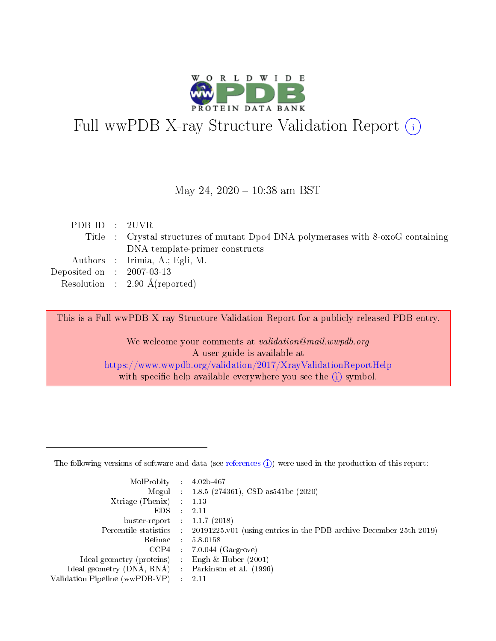

# Full wwPDB X-ray Structure Validation Report (i)

#### May 24,  $2020 - 10:38$  am BST

| PDBID : 2UVR                |                                                                                  |
|-----------------------------|----------------------------------------------------------------------------------|
|                             | Title : Crystal structures of mutant Dpo4 DNA polymerases with 8-oxoG containing |
|                             | DNA template-primer constructs                                                   |
|                             | Authors : Irimia, A.; Egli, M.                                                   |
| Deposited on : $2007-03-13$ |                                                                                  |
|                             | Resolution : $2.90 \text{ Å}$ (reported)                                         |
|                             |                                                                                  |

This is a Full wwPDB X-ray Structure Validation Report for a publicly released PDB entry.

We welcome your comments at validation@mail.wwpdb.org A user guide is available at <https://www.wwpdb.org/validation/2017/XrayValidationReportHelp> with specific help available everywhere you see the  $(i)$  symbol.

The following versions of software and data (see [references](https://www.wwpdb.org/validation/2017/XrayValidationReportHelp#references)  $(1)$ ) were used in the production of this report:

| MolProbity                     | $\mathcal{L}_{\rm{max}}$ | $4.02b - 467$                                                                |
|--------------------------------|--------------------------|------------------------------------------------------------------------------|
|                                |                          | Mogul : $1.8.5$ (274361), CSD as 541be (2020)                                |
| $X$ triage (Phenix) :          |                          | 1.13                                                                         |
| EDS.                           |                          | 2.11                                                                         |
| buster-report : $1.1.7$ (2018) |                          |                                                                              |
| Percentile statistics :        |                          | $20191225 \text{ v}01$ (using entries in the PDB archive December 25th 2019) |
| Refmac                         |                          | 5.8.0158                                                                     |
| $CCP4$ :                       |                          | $7.0.044$ (Gargrove)                                                         |
| Ideal geometry (proteins) :    |                          | Engh $\&$ Huber (2001)                                                       |
| Ideal geometry (DNA, RNA) :    |                          | Parkinson et al. (1996)                                                      |
| Validation Pipeline (wwPDB-VP) | $\mathcal{L}$            | -2.11                                                                        |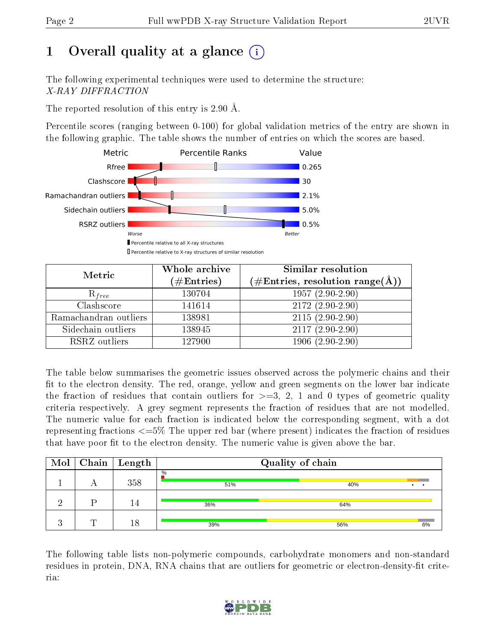# 1 [O](https://www.wwpdb.org/validation/2017/XrayValidationReportHelp#overall_quality)verall quality at a glance  $(i)$

The following experimental techniques were used to determine the structure: X-RAY DIFFRACTION

The reported resolution of this entry is 2.90 Å.

Percentile scores (ranging between 0-100) for global validation metrics of the entry are shown in the following graphic. The table shows the number of entries on which the scores are based.



| Metric                | Whole archive<br>$(\#\mathrm{Entries})$ | Similar resolution<br>$(\#\text{Entries},\,\text{resolution}\,\,\text{range}(\textup{\AA}))$ |
|-----------------------|-----------------------------------------|----------------------------------------------------------------------------------------------|
| $R_{free}$            | 130704                                  | $1957(2.90-2.90)$                                                                            |
| Clashscore            | 141614                                  | $2172(2.90-2.90)$                                                                            |
| Ramachandran outliers | 138981                                  | $2115(2.90-2.90)$                                                                            |
| Sidechain outliers    | 138945                                  | $2117(2.90-2.90)$                                                                            |
| RSRZ outliers         | 127900                                  | $1906(2.90-2.90)$                                                                            |

The table below summarises the geometric issues observed across the polymeric chains and their fit to the electron density. The red, orange, yellow and green segments on the lower bar indicate the fraction of residues that contain outliers for  $>=3, 2, 1$  and 0 types of geometric quality criteria respectively. A grey segment represents the fraction of residues that are not modelled. The numeric value for each fraction is indicated below the corresponding segment, with a dot representing fractions <=5% The upper red bar (where present) indicates the fraction of residues that have poor fit to the electron density. The numeric value is given above the bar.

| Mol |   | $\mid$ Chain $\mid$ Length | Quality of chain |     |    |  |  |  |
|-----|---|----------------------------|------------------|-----|----|--|--|--|
|     | n | 358                        | $\%$<br>51%      | 40% |    |  |  |  |
|     |   | . 4                        | 36%              | 64% |    |  |  |  |
|     | ╓ | 18                         | 39%              | 56% | 6% |  |  |  |

The following table lists non-polymeric compounds, carbohydrate monomers and non-standard residues in protein, DNA, RNA chains that are outliers for geometric or electron-density-fit criteria:

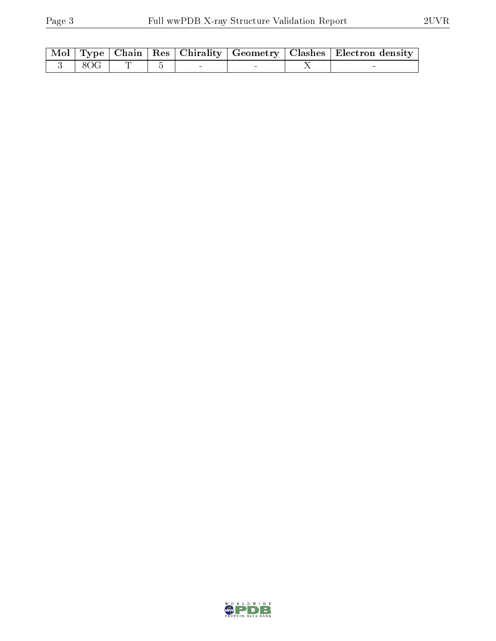|                       |  |  | Mol   Type   Chain   Res   Chirality   Geometry   Clashes   Electron density |
|-----------------------|--|--|------------------------------------------------------------------------------|
| $3 \times 8$ OG $\pm$ |  |  |                                                                              |

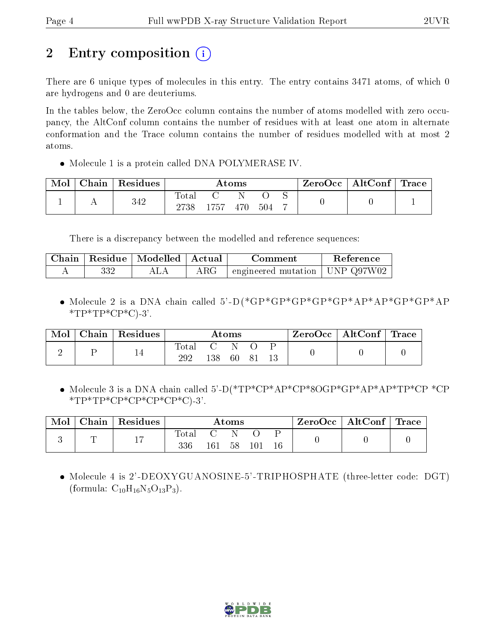# 2 Entry composition (i)

There are 6 unique types of molecules in this entry. The entry contains 3471 atoms, of which 0 are hydrogens and 0 are deuteriums.

In the tables below, the ZeroOcc column contains the number of atoms modelled with zero occupancy, the AltConf column contains the number of residues with at least one atom in alternate conformation and the Trace column contains the number of residues modelled with at most 2 atoms.

• Molecule 1 is a protein called DNA POLYMERASE IV.

| Mol | Chain | $\,$ Residues | Atoms               |      |     |     | ZeroOcc | $\vert$ AltConf $\vert$ Trace $\vert$ |  |  |
|-----|-------|---------------|---------------------|------|-----|-----|---------|---------------------------------------|--|--|
|     |       | 342           | $\rm Total$<br>2738 | 1757 | 470 | 504 |         |                                       |  |  |

There is a discrepancy between the modelled and reference sequences:

|     | Chain   Residue   Modelled   Actual |            | Comment                            | Reference |
|-----|-------------------------------------|------------|------------------------------------|-----------|
| 332 | ALA                                 | $\rm{ARG}$ | engineered mutation   UNP $Q97W02$ |           |

 Molecule 2 is a DNA chain called 5'-D(\*GP\*GP\*GP\*GP\*GP\*AP\*AP\*GP\*GP\*AP  $*TP*TP*CP*C$ -3'.

| Chain | Residues | Atoms |     |           |  |  | ZeroOcc   AltConf   Trace |  |
|-------|----------|-------|-----|-----------|--|--|---------------------------|--|
|       | 14       | Total | 138 | - N<br>60 |  |  |                           |  |

 Molecule 3 is a DNA chain called 5'-D(\*TP\*CP\*AP\*CP\*8OGP\*GP\*AP\*AP\*TP\*CP \*CP  $*TP*TP*CP*CP*CP*CP*CP*C$ 

| Mol | Chain | Residues | $\bm{\mathrm{Atoms}}$ |     |    |                 |  | ZeroOcc   AltConf   Trace |  |
|-----|-------|----------|-----------------------|-----|----|-----------------|--|---------------------------|--|
|     |       | . .      | 336                   | 161 | 58 | $10^{\text{-}}$ |  |                           |  |

 Molecule 4 is 2'-DEOXYGUANOSINE-5'-TRIPHOSPHATE (three-letter code: DGT) (formula:  $C_{10}H_{16}N_5O_{13}P_3$ ).

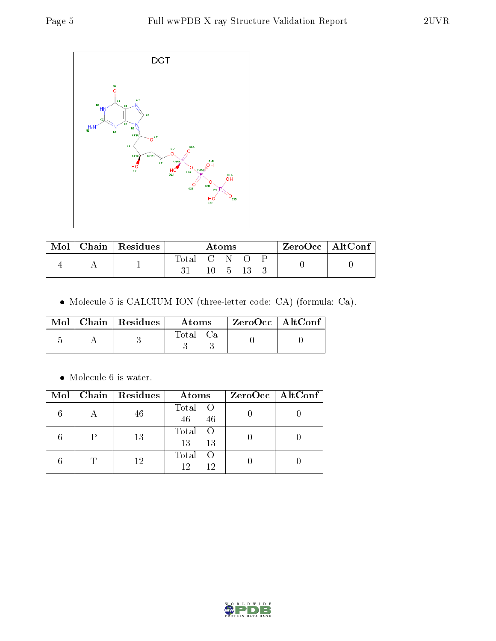

| Mol | Chain   $Residues$ | Atoms       |  |  |  | ZeroOcc   AltConf |  |  |
|-----|--------------------|-------------|--|--|--|-------------------|--|--|
|     |                    | Total C N O |  |  |  |                   |  |  |

Molecule 5 is CALCIUM ION (three-letter code: CA) (formula: Ca).

|  | $\text{Mol}$   Chain   Residues | Atoms | ZeroOcc   AltConf |  |
|--|---------------------------------|-------|-------------------|--|
|  |                                 | Total |                   |  |

 $\bullet\,$  Molecule 6 is water.

|  | Mol   Chain   Residues | Atoms                      | $ZeroOcc \   \ AltConf \  $ |
|--|------------------------|----------------------------|-----------------------------|
|  | 46                     | Total O<br>46<br>46        |                             |
|  | 13                     | Total O<br>13<br>13        |                             |
|  | 12                     | Total<br>- ( )<br>12<br>12 |                             |

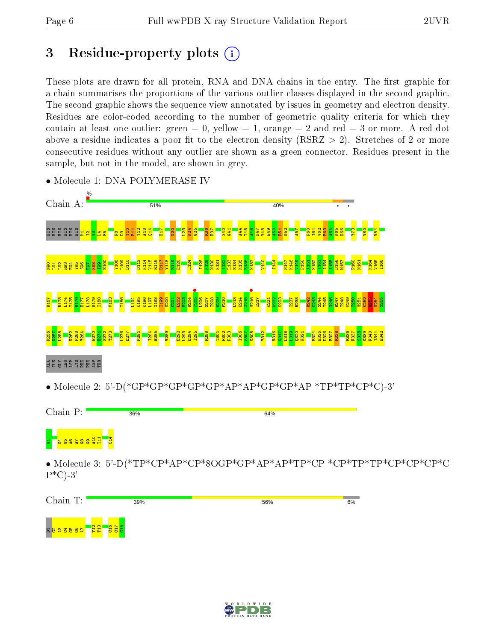# 3 Residue-property plots  $(i)$

These plots are drawn for all protein, RNA and DNA chains in the entry. The first graphic for a chain summarises the proportions of the various outlier classes displayed in the second graphic. The second graphic shows the sequence view annotated by issues in geometry and electron density. Residues are color-coded according to the number of geometric quality criteria for which they contain at least one outlier: green  $= 0$ , yellow  $= 1$ , orange  $= 2$  and red  $= 3$  or more. A red dot above a residue indicates a poor fit to the electron density (RSRZ  $> 2$ ). Stretches of 2 or more consecutive residues without any outlier are shown as a green connector. Residues present in the sample, but not in the model, are shown in grey.



• Molecule 1: DNA POLYMERASE IV



• Molecule 3: 5'-D(\*TP\*CP\*AP\*CP\*8OGP\*GP\*AP\*AP\*TP\*CP \*CP\*TP\*TP\*CP\*CP\*CP\*C  $P^*C$ )-3'

| Chain T:                     | 39%                    | 56% | 6% |
|------------------------------|------------------------|-----|----|
| <mark>'n p</mark><br>E823685 | 용료<br><mark>영업명</mark> |     |    |

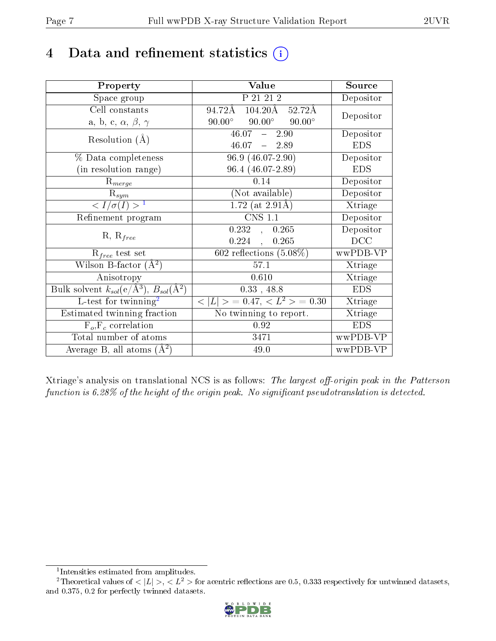## 4 Data and refinement statistics  $(i)$

| Property                                                                | Value                                              | Source     |
|-------------------------------------------------------------------------|----------------------------------------------------|------------|
| Space group                                                             | P 21 21 2                                          | Depositor  |
| Cell constants                                                          | 104.20Å 52.72Å<br>94.72Å                           | Depositor  |
| a, b, c, $\alpha$ , $\beta$ , $\gamma$                                  | $90.00^{\circ}$ $90.00^{\circ}$<br>$90.00^{\circ}$ |            |
| Resolution $(A)$                                                        | $46.07 - 2.90$                                     | Depositor  |
|                                                                         | $46.07 - 2.89$                                     | <b>EDS</b> |
| % Data completeness                                                     | 96.9 (46.07-2.90)                                  | Depositor  |
| (in resolution range)                                                   | 96.4 (46.07-2.89)                                  | <b>EDS</b> |
| $R_{merge}$                                                             | 0.14                                               | Depositor  |
| $\mathrm{R}_{sym}$                                                      | (Not available)                                    | Depositor  |
| $\langle I/\sigma(I) \rangle^{-1}$                                      | $1.72$ (at 2.91Å)                                  | Xtriage    |
| Refinement program                                                      | <b>CNS 1.1</b>                                     | Depositor  |
| $R, R_{free}$                                                           | 0.232, 0.265                                       | Depositor  |
|                                                                         | $0.224$ ,<br>0.265                                 | DCC        |
| $\mathcal{R}_{free}$ test set                                           | $\overline{602}$ reflections $(5.08\%)$            | wwPDB-VP   |
| Wilson B-factor $(A^2)$                                                 | 57.1                                               | Xtriage    |
| Anisotropy                                                              | 0.610                                              | Xtriage    |
| Bulk solvent $k_{sol}(\mathrm{e}/\mathrm{A}^3),\,B_{sol}(\mathrm{A}^2)$ | $0.33$ , 48.8                                      | <b>EDS</b> |
| L-test for twinning <sup>2</sup>                                        | $< L >$ = 0.47, $< L2 >$ = 0.30                    | Xtriage    |
| Estimated twinning fraction                                             | No twinning to report.                             | Xtriage    |
| $F_o, F_c$ correlation                                                  | 0.92                                               | <b>EDS</b> |
| Total number of atoms                                                   | 3471                                               | wwPDB-VP   |
| Average B, all atoms $(A^2)$                                            | 49.0                                               | wwPDB-VP   |

Xtriage's analysis on translational NCS is as follows: The largest off-origin peak in the Patterson function is  $6.28\%$  of the height of the origin peak. No significant pseudotranslation is detected.

<sup>&</sup>lt;sup>2</sup>Theoretical values of  $\langle |L| \rangle$ ,  $\langle L^2 \rangle$  for acentric reflections are 0.5, 0.333 respectively for untwinned datasets, and 0.375, 0.2 for perfectly twinned datasets.



<span id="page-6-1"></span><span id="page-6-0"></span><sup>1</sup> Intensities estimated from amplitudes.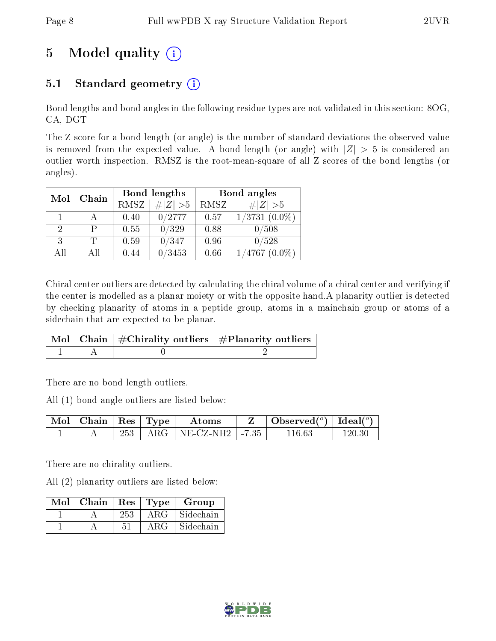# 5 Model quality  $(i)$

### 5.1 Standard geometry  $(i)$

Bond lengths and bond angles in the following residue types are not validated in this section: 8OG, CA, DGT

The Z score for a bond length (or angle) is the number of standard deviations the observed value is removed from the expected value. A bond length (or angle) with  $|Z| > 5$  is considered an outlier worth inspection. RMSZ is the root-mean-square of all Z scores of the bond lengths (or angles).

| Mol<br>Chain |                | Bond lengths |             | Bond angles |                    |
|--------------|----------------|--------------|-------------|-------------|--------------------|
|              |                | <b>RMSZ</b>  | $\ Z\  > 5$ | RMSZ        | $\# Z  > 5$        |
|              |                | 0.40         | 0/2777      | 0.57        | $1/3731$ $(0.0\%)$ |
| 2            |                | 0.55         | 0/329       | 0.88        | 0/508              |
| 3            |                | 0.59         | 0/347       | 0.96        | 0/528              |
| AĦ           | A <sup>H</sup> | 0.44         | /3453       | 0.66        | /4767              |

Chiral center outliers are detected by calculating the chiral volume of a chiral center and verifying if the center is modelled as a planar moiety or with the opposite hand.A planarity outlier is detected by checking planarity of atoms in a peptide group, atoms in a mainchain group or atoms of a sidechain that are expected to be planar.

|  | $\lceil \, \text{Mol} \, \rceil$ Chain $\mid \# \text{Chirality outliers} \mid \# \text{Planarity outliers} \mid$ |
|--|-------------------------------------------------------------------------------------------------------------------|
|  |                                                                                                                   |

There are no bond length outliers.

All (1) bond angle outliers are listed below:

| $\vert$ Mol $\vert$ Chain $\vert$ Res $\vert$ Type $\vert$ |  | Atoms                         | $\mid$ Observed $({}^o)$ $\mid$ Ideal $({}^o)$ |            |
|------------------------------------------------------------|--|-------------------------------|------------------------------------------------|------------|
|                                                            |  | 253   ARG   NE-CZ-NH2   -7.35 | 116 63                                         | $120.30\,$ |

There are no chirality outliers.

All (2) planarity outliers are listed below:

| $Mol$   Chain   Res   Type |     |            | Group     |
|----------------------------|-----|------------|-----------|
|                            | 253 | $ARG^{-1}$ | Sidechain |
|                            | 51  | ARG        | Sidechain |

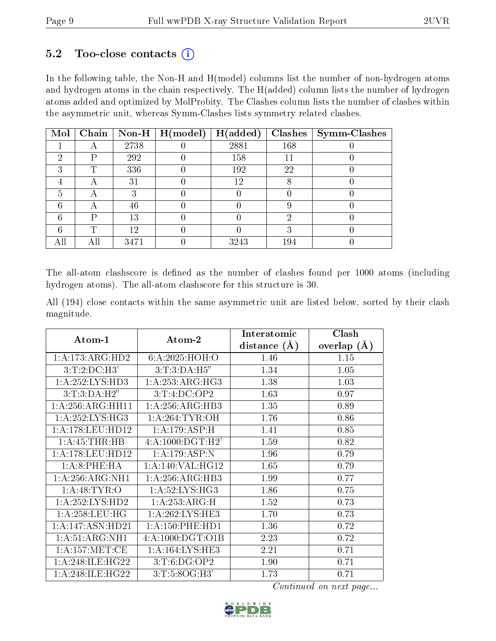#### $5.2$  Too-close contacts  $(i)$

In the following table, the Non-H and H(model) columns list the number of non-hydrogen atoms and hydrogen atoms in the chain respectively. The H(added) column lists the number of hydrogen atoms added and optimized by MolProbity. The Clashes column lists the number of clashes within the asymmetric unit, whereas Symm-Clashes lists symmetry related clashes.

| Mol |                          |      | Chain   Non-H   H(model) | H(added) | Clashes | Symm-Clashes |
|-----|--------------------------|------|--------------------------|----------|---------|--------------|
|     |                          | 2738 |                          | 2881     | 168     |              |
| ച   | P                        | 292  |                          | 158      | 11      |              |
| 3   | m                        | 336  |                          | 192      | 22      |              |
|     | Η                        | 31   |                          | 12       |         |              |
| h.  | $\overline{\phantom{a}}$ |      |                          |          |         |              |
|     |                          | 46   |                          |          |         |              |
|     | D                        | 13   |                          |          | ച       |              |
|     | ௱                        | 12   |                          |          |         |              |
|     |                          | 3471 |                          | 3243     | 194     |              |

The all-atom clashscore is defined as the number of clashes found per 1000 atoms (including hydrogen atoms). The all-atom clashscore for this structure is 30.

All (194) close contacts within the same asymmetric unit are listed below, sorted by their clash magnitude.

|                     |                     | Interatomic    | Clash         |
|---------------------|---------------------|----------------|---------------|
| Atom-1              | Atom-2              | distance $(A)$ | overlap $(A)$ |
| 1: A:173: ARG:HD2   | 6:A:2025:HOH:O      | 1.46           | 1.15          |
| $3:T:2:D\\C:H3'$    | 3: T: 3: DA: H5"    | 1.34           | 1.05          |
| 1:A:252:LYS:HD3     | 1:A:253:ARG:HG3     | 1.38           | 1.03          |
| 3:T:3:DA:H2"        | 3:T:4:D C:OP2       | 1.63           | 0.97          |
| 1:A:256:ARG:HH11    | 1:A:256:ARG:HB3     | 1.35           | 0.89          |
| 1: A:252: LYS: HG3  | 1: A:264:TYR:OH     | 1.76           | 0.86          |
| 1: A:178:LEU:HD12   | 1:A:179:ASP:H       | 1.41           | 0.85          |
| 1: A: 45: THR: HB   | 4:A:1000:DGT:H2'    | 1.59           | 0.82          |
| 1: A:178: LEU: HD12 | 1:A:179:ASP:N       | 1.96           | 0.79          |
| 1:A:8:PHE:HA        | 1: A:140: VAL:HG12  | 1.65           | 0.79          |
| 1: A:256: ARG: NH1  | 1:A:256:ARG:HB3     | 1.99           | 0.77          |
| 1: A:48: TYR:O      | 1: A:52: LYS: HG3   | 1.86           | 0.75          |
| 1:A:252:LYS:HD2     | 1:A:253:ARG:H       | 1.52           | 0.73          |
| 1: A:258:LEU:HG     | 1:A:262:LYS:HE3     | 1.70           | 0.73          |
| 1:A:147:ASN:HD21    | 1: A: 150: PHE: HD1 | 1.36           | 0.72          |
| 1: A:51: ARG:NH1    | 4:A:1000:DGT:O1B    | 2.23           | 0.72          |
| 1: A:157: MET:CE    | 1:A:164:LYS:HE3     | 2.21           | 0.71          |
| 1: A:248: ILE: HG22 | 3: T: 6: DG: OP2    | 1.90           | 0.71          |
| 1: A:248: ILE: HG22 | 3: T: 5: 8OG:H3'    | 1.73           | 0.71          |

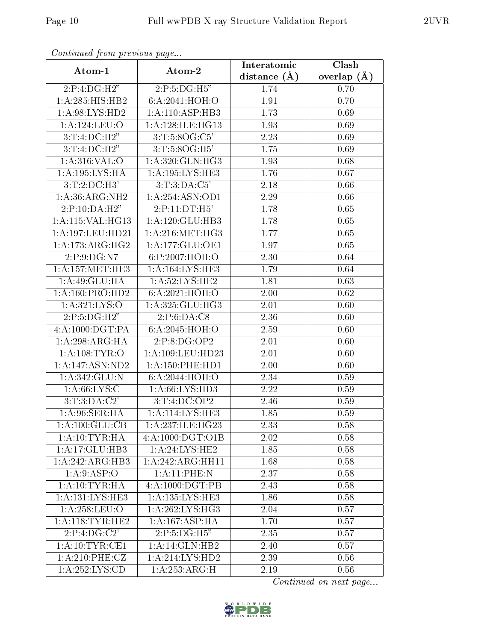| Conningea from previous page<br>Atom-1 | Atom-2                       | Interatomic      | $\overline{\text{Clash}}$ |
|----------------------------------------|------------------------------|------------------|---------------------------|
|                                        |                              | distance $(\AA)$ | overlap $(A)$             |
| 2:P:4:DG:H2"                           | 2:P:5:DG:H5"                 | 1.74             | 0.70                      |
| 1: A:285: HIS: HB2                     | 6: A:2041: HOH:O             | 1.91             | 0.70                      |
| 1:A:98:LYS:HD2                         | 1:A:110:ASP:HB3              | 1.73             | 0.69                      |
| 1:A:124:LEU:O                          | 1: A:128: ILE: HG13          | 1.93             | 0.69                      |
| 3:T:4:D C:H2"                          | 3:T:5:8OG:C5'                | 2.23             | 0.69                      |
| 3:T:4:D C:H2"                          | 3:T:5:8OG:H5'                | 1.75             | 0.69                      |
| 1:A:316:VAL:O                          | 1: A:320: GLN: HG3           | 1.93             | 0.68                      |
| 1:A:195:LYS:HA                         | 1:A:195:LYS:HE3              | 1.76             | 0.67                      |
| $3:T:2:D$ C:H3'                        | 3:T:3:DA:C5'                 | 2.18             | 0.66                      |
| 1: A:36: ARG: NH2                      | 1:A:254:ASN:OD1              | 2.29             | 0.66                      |
| 2:P:10:DA:H2"                          | 2:P:11:DT:H5'                | 1.78             | 0.65                      |
| 1:A:115:VAL:HG13                       | 1:A:120:GLU:HB3              | 1.78             | 0.65                      |
| 1:A:197:LEU:HD21                       | 1: A:216: MET:HG3            | 1.77             | 0.65                      |
| 1: A:173:ARG:HG2                       | $1:A:177:\overline{GLU:OE1}$ | 1.97             | 0.65                      |
| 2:P:9:DG:N7                            | 6:P:2007:HOH:O               | 2.30             | 0.64                      |
| 1: A:157: MET:HE3                      | 1:A:164:LYS:HE3              | 1.79             | 0.64                      |
| 1: A:49: GLU: HA                       | 1: A:52:LYS:HE2              | 1.81             | 0.63                      |
| 1:A:160:PRO:HD2                        | 6:A:2021:HOH:O               | $2.00\,$         | 0.62                      |
| 1:A:321:LYS:O                          | 1:A:325:GLU:HG3              | 2.01             | 0.60                      |
| 2:P:5:DG:H2"                           | 2:P:6:DA:C8                  | 2.36             | 0.60                      |
| 4:A:1000:DGT:PA                        | 6: A:2045: HOH:O             | 2.59             | 0.60                      |
| 1: A:298:ARG:HA                        | 2:P:8:DG:OP2                 | 2.01             | 0.60                      |
| 1: A:108: TYR:O                        | 1:A:109:LEU:HD23             | 2.01             | 0.60                      |
| 1:A:147:ASN:ND2                        | 1: A: 150: PHE: HD1          | 2.00             | 0.60                      |
| 1: A:342: GLU:N                        | 6:A:2044:HOH:O               | 2.34             | 0.59                      |
| 1: A:66:LYS:C                          | 1: A:66: LYS:HD3             | 2.22             | 0.59                      |
| 3: T: 3:D A: C2'                       | 3:T:4:D C:OP2                | 2.46             | 0.59                      |
| 1: A:96: SER: HA                       | 1:A:114:LYS:HE3              | 1.85             | 0.59                      |
| 1:A:100:GLU:CB                         | 1:A:237:ILE:HG23             | 2.33             | 0.58                      |
| 1:A:10:TYR:HA                          | 4:A:1000:DGT:O1B             | 2.02             | 0.58                      |
| 1:A:17:GLU:HB3                         | 1:A:24:LYS:HE2               | 1.85             | 0.58                      |
| 1:A:242:ARG:HB3                        | 1:A:242:ARG:HH11             | 1.68             | 0.58                      |
| 1: A:9: ASP:O                          | 1:A:11:PHE:N                 | 2.37             | 0.58                      |
| 1:A:10:TYR:HA                          | 4:A:1000:DGT:PB              | 2.43             | 0.58                      |
| 1:A:131:LYS:HE3                        | 1:A:135:LYS:HE3              | 1.86             | 0.58                      |
| 1:A:258:LEU:O                          | 1:A:262:LYS:HG3              | 2.04             | 0.57                      |
| 1: A:118: TYR: HE2                     | 1:A:167:ASP:HA               | 1.70             | 0.57                      |
| $2:P:4:D\overline{G:C2'}$              | $2:P:5:DG:\overline{H5"}$    | 2.35             | 0.57                      |
| 1: A:10:TYR:CE1                        | 1: A:14: GLN:HB2             | 2.40             | 0.57                      |
| 1:A:210:PHE:CZ                         | 1: A:214: LYS: HD2           | 2.39             | 0.56                      |
| 1:A:252:LYS:CD                         | 1:A:253:ARG:H                | 2.19             | 0.56                      |

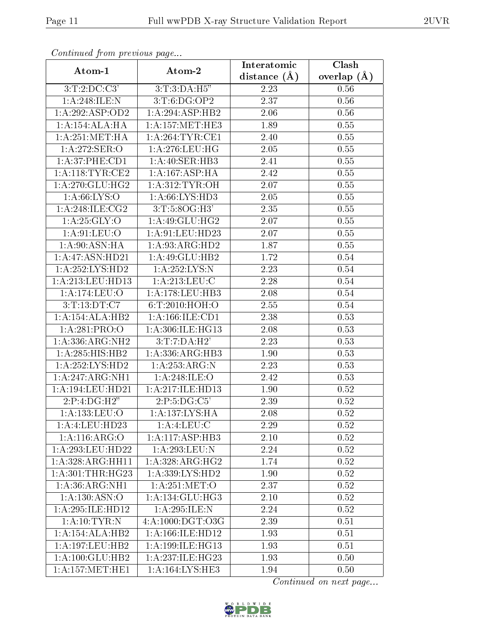| Communica from previous page                 |                                   | Interatomic      | Clash         |
|----------------------------------------------|-----------------------------------|------------------|---------------|
| Atom-1                                       | Atom-2                            | distance $(\AA)$ | overlap $(A)$ |
| 3:T:2:DC:C3'                                 | 3: T:3:DA:H5"                     | 2.23             | 0.56          |
| 1:A:248:ILE:N                                | 3: T: 6: DG: OP2                  | 2.37             | 0.56          |
| 1:A:292:ASP:OD2                              | 1:A:294:ASP:HB2                   | 2.06             | 0.56          |
| 1:A:154:ALA:HA                               | 1: A: 157: MET: HE3               | 1.89             | 0.55          |
| 1: A:251: MET:HA                             | 1: A:264:TYR:CE1                  | 2.40             | 0.55          |
| 1:A:272:SER:O                                | 1:A:276:LEU:HG                    | 2.05             | 0.55          |
| 1:A:37:PHE:CD1                               | 1:A:40:SER:HB3                    | 2.41             | 0.55          |
| 1: A:118: TYR: CE2                           | 1: A: 167: ASP: HA                | 2.42             | 0.55          |
| 1: A:270: GLU:HG2                            | 1: A:312: TYR: OH                 | 2.07             | 0.55          |
| 1: A:66: LYS:O                               | 1: A:66: LYS:HD3                  | 2.05             | 0.55          |
| 1:A:248:ILE:CG2                              | 3: T: 5: 8OG:H3'                  | 2.35             | 0.55          |
| 1: A:25: GLY:O                               | 1: A:49: GLU: HG2                 | 2.07             | 0.55          |
| 1: A:91: LEU:O                               | 1: A:91: LEU: HD23                | 2.07             | 0.55          |
| 1: A:90: ASN: HA                             | 1: A:93: ARG:HD2                  | 1.87             | 0.55          |
| 1:A:47:ASN:HD21                              | 1:A:49:GLU:HB2                    | 1.72             | 0.54          |
| 1:A:252:LYS:HD2                              | 1: A:252:LYS:N                    | 2.23             | 0.54          |
| 1:A:213:LEU:HD13                             | 1: A:213:LEU:C                    | 2.28             | $0.54\,$      |
| 1: A:174: LEU:O                              | 1:A:178:LEU:HB3                   | 2.08             | 0.54          |
| 3:T:13:DT:C7                                 | 6:T:2010:HOH:O                    | 2.55             | 0.54          |
| 1:A:154:ALA:HB2                              | 1: A: 166: ILE: CD1               | 2.38             | 0.53          |
| 1:A:281:PRO:O                                | 1:A:306:ILE:HG13                  | 2.08             | 0.53          |
| 1:A:336:ARG:NH2                              | 3:T:7:DA:H2'                      | 2.23             | 0.53          |
| 1:A:285:HIS:HB2                              | 1: A: 336: ARG: HB3               | 1.90             | 0.53          |
| 1:A:252:LYS:HD2                              | 1:A:253:ARG:N                     | 2.23             | 0.53          |
| 1: A:247: ARG:NH1                            | 1: A:248: ILE:O                   | 2.42             | 0.53          |
| 1:A:194:LEU:HD21                             | 1:A:217:ILE:HD13                  | 1.90             | 0.52          |
| 2:P:4:DG:H2"                                 | $2:\!P:\!5:\!DG:\!C\overline{5'}$ | 2.39             | 0.52          |
| 1:A:133:LEU:O                                | 1: A: 137: LYS: HA                | 2.08             | 0.52          |
| 1:A:4:LEU:HD23                               | 1:A:4:LEU:C                       | 2.29             | 0.52          |
| 1:A:116:ARG:O                                | 1:A:117:ASP:HB3                   | 2.10             | 0.52          |
| 1: A:293:LEU:HD22                            | 1:A:293:LEU:N                     | 2.24             | 0.52          |
| 1:A:328:ARG:HH11                             | 1:A:328:ARG:HG2                   | 1.74             | 0.52          |
| 1: A:301:THR:HG23                            | 1:A:339:LYS:HD2                   | 1.90             | 0.52          |
| 1:A:36:ARG:NH1                               | 1: A:251: MET:O                   | 2.37             | 0.52          |
| 1:A:130:ASN:O                                | 1: A:134: GLU: HG3                | 2.10             | 0.52          |
| 1:A:295:ILE:HD12                             | 1:A:295:ILE:N                     | 2.24             | 0.52          |
| 1: A: 10: TYR: N                             | 4:A:1000:DGT:O3G                  | 2.39             | 0.51          |
| 1:A:154:ALA:HB2                              | 1:A:166:ILE:HD12                  | 1.93             | 0.51          |
| 1:A:197:LEU:HB2                              | 1:A:199:ILE:HG13                  | 1.93             | 0.51          |
| 1:A:100:GLU:HB2                              | 1: A:237: ILE: HG23               | 1.93             | 0.50          |
| $1: A:157: \overline{\text{MET}:\text{HE1}}$ | 1:A:164:LYS:HE3                   | 1.94             | 0.50          |

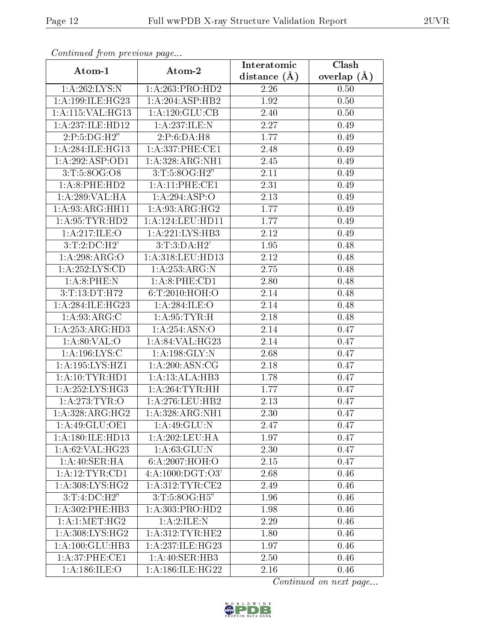| Continuation providuo paga           |                      | Interatomic    | Clash           |  |
|--------------------------------------|----------------------|----------------|-----------------|--|
| Atom-1                               | Atom-2               | distance $(A)$ | overlap $(\AA)$ |  |
| 1: A:262:LYS:N                       | 1: A:263: PRO:HD2    | 2.26           | 0.50            |  |
| 1:A:199:ILE:HG23                     | 1:A:204:ASP:HB2      | 1.92           | 0.50            |  |
| 1:A:115:VAL:HG13                     | 1:A:120:GLU:CB       | 2.40           | 0.50            |  |
| 1:A:237:ILE:HD12                     | 1:A:237:ILE:N        | 2.27           | 0.49            |  |
| 2:P:5:DG:H2"                         | 2:P:6:DA:H8          | 1.77           | 0.49            |  |
| 1: A:284: ILE: HG13                  | 1: A: 337: PHE: CE1  | 2.48           | 0.49            |  |
| 1:A:292:ASP:OD1                      | 1: A:328:ARG:NH1     | 2.45           | 0.49            |  |
| 3:T:5:8OG:O8                         | 3: T:5:8OG:H2"       | 2.11           | 0.49            |  |
| 1:A:8:PHE:HD2                        | 1:A:11:PHE:CE1       | 2.31           | 0.49            |  |
| 1:A:289:VAL:HA                       | 1: A:294: ASP:O      | 2.13           | 0.49            |  |
| 1:A:93:ARG:HH11                      | 1:A:93:ARG:HG2       | 1.77           | 0.49            |  |
| 1: A:95:TYR:HD2                      | 1:A:124:LEU:HD11     | 1.77           | 0.49            |  |
| 1:A:217:ILE:O                        | 1:A:221:LYS:HB3      | 2.12           | 0.49            |  |
| 3:T:2:D C:H2'                        | 3:T:3:DA:H2'         | 1.95           | 0.48            |  |
| 1:A:298:ARG:O                        | $1:$ A:318:LEU:HD13  | 2.12           | 0.48            |  |
| 1:A:252:LYS:CD                       | 1:A:253:ARG:N        | 2.75           | 0.48            |  |
| 1: A:8: PHE: N                       | 1: A:8: PHE:CD1      | 2.80           | 0.48            |  |
| 3:T:13:DT:H72                        | 6: T:2010:HOH:O      | 2.14           | 0.48            |  |
| $1:A:284:I\overline{\text{LE:HG}23}$ | 1: A:284: ILE:O      | 2.14           | 0.48            |  |
| 1: A:93: ARG: C                      | 1: A:95: TYR:H       | 2.18           | 0.48            |  |
| 1: A: 253: ARG: HD3                  | 1: A:254: ASN:O      | 2.14           | 0.47            |  |
| 1: A:80:VAL:O                        | 1:A:84:VAL:HG23      | 2.14           | 0.47            |  |
| 1: A: 196: LYS: C                    | 1:A:198:GLY:N        | 2.68           | 0.47            |  |
| 1: A: 195: LYS: HZ1                  | 1:A:200:ASN:CG       | 2.18           | 0.47            |  |
| 1:A:10:TYR:HD1                       | 1:A:13:ALA:HB3       | 1.78           | 0.47            |  |
| 1: A: 252: LYS: HG3                  | 1: A:264:TYR:HH      | 1.77           | 0.47            |  |
| 1: A:273: TYR:O                      | 1: A:276:LEU:HB2     | 2.13           | 0.47            |  |
| 1:A:328:ARG:HG2                      | 1:A:328:ARG:NH1      | 2.30           | 0.47            |  |
| 1:A:49:GLU:OE1                       | 1:A:49:GLU:N         | 2.47           | 0.47            |  |
| 1:A:180:ILE:HD13                     | 1:A:202:LEU:HA       | 1.97           | 0.47            |  |
| 1:A:62:VAL:HG23                      | 1: A:63: GLU:N       | 2.30           | 0.47            |  |
| 1: A:40: SER: HA                     | 6: A:2007:HOH:O      | $2.15\,$       | 0.47            |  |
| 1: A:12:TYR:CD1                      | 4: A: 1000: DGT: O3' | 2.68           | 0.46            |  |
| 1:A:308:LYS:HG2                      | 1: A:312:TYR:CE2     | 2.49           | 0.46            |  |
| 3:T:4:D C:H2"                        | 3:T:5:8OG:H5"        | 1.96           | 0.46            |  |
| $1: A:302:$ PHE:HB3                  | 1: A:303: PRO:HD2    | 1.98           | 0.46            |  |
| 1: A:1: MET:HG2                      | 1:A:2:ILE:N          | 2.29           | 0.46            |  |
| 1: A:308: LYS: HG2                   | 1: A:312:TYR:HE2     | 1.80           | 0.46            |  |
| 1:A:100:GLU:HB3                      | 1:A:237:ILE:HG23     | 1.97           | 0.46            |  |
| 1: A:37: PHE: CE1                    | 1: A:40: SER:HB3     | 2.50           | 0.46            |  |
| 1: A:186: ILE:O                      | 1:A:186:ILE:HG22     | 2.16           | 0.46            |  |

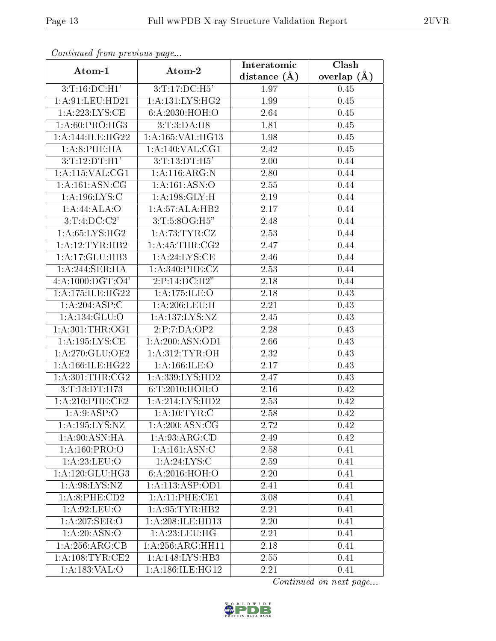| Conningea from previous page |                              | Interatomic    | Clash           |
|------------------------------|------------------------------|----------------|-----------------|
| Atom-1                       | Atom-2                       | distance $(A)$ | overlap $(\AA)$ |
| $3:T:16:D$ C:H1'             | 3:T:17:DC:H5'                | 1.97           | 0.45            |
| 1: A:91: LEU: HD21           | 1: A: 131: LYS: HG2          | 1.99           | 0.45            |
| 1:A:223:LYS:CE               | 6:A:2030:HOH:O               | 2.64           | 0.45            |
| 1: A:60: PRO:HG3             | 3: T: 3:DA: H8               | 1.81           | 0.45            |
| 1:A:144:ILE:HG22             | 1:A:165:VAL:H <sub>G13</sub> | 1.98           | 0.45            |
| 1:A:8:PHE:HA                 | 1: A:140: VAL: CG1           | 2.42           | 0.45            |
| $3:\overline{T:12:DT:H1'}$   | 3:T:13:DT:H5'                | 2.00           | 0.44            |
| 1: A:115: VAL:CG1            | $1:A:116:ARG:\overline{N}$   | 2.80           | 0.44            |
| 1: A:161: ASN:CG             | 1:A:161:ASN:O                | 2.55           | 0.44            |
| 1:A:196:LYS:C                | 1: A: 198: GLY: H            | 2.19           | 0.44            |
| 1:A:44:ALA:O                 | 1:A:57:ALA:HB2               | 2.17           | 0.44            |
| 3:T:4:DC:C2'                 | 3:T:5:8OG:H5"                | 2.48           | 0.44            |
| 1: A:65: L <sub>YS:HG2</sub> | 1: A:73:TYR:CZ               | 2.53           | 0.44            |
| 1:A:12:TYR:HB2               | 1: A: 45: THR: CG2           | 2.47           | 0.44            |
| 1:A:17:GLU:HB3               | 1: A:24:LYS:CE               | 2.46           | 0.44            |
| 1:A:244:SER:HA               | 1: A:340: PHE: CZ            | 2.53           | 0.44            |
| 4: A: 1000: DGT: O4'         | 2:P:14:D C:H2"               | 2.18           | 0.44            |
| 1:A:175:ILE:HG22             | 1: A:175: ILE: O             | 2.18           | 0.43            |
| $1:A:204.\overline{ASP:C}$   | 1: A:206:LEU:H               | 2.21           | 0.43            |
| 1:A:134:GLU:O                | 1:A:137:LYS:NZ               | 2.45           | 0.43            |
| 1: A:301:THR:OG1             | 2:P:7:DA:OP2                 | 2.28           | 0.43            |
| 1:A:195:LYS:CE               | 1:A:200:ASN:OD1              | 2.66           | 0.43            |
| 1:A:270:GLU:OE2              | 1: A:312: TYR: OH            | 2.32           | 0.43            |
| 1:A:166:ILE:HG22             | 1: A:166: ILE: O             | 2.17           | 0.43            |
| 1: A:301:THR:CG2             | 1: A: 339: LYS: HD2          | 2.47           | 0.43            |
| 3:T:13:DT:H73                | 6:T:2010:HOH:O               | 2.16           | 0.42            |
| $1: A:210:$ PHE:CE2          | 1: A:214: LYS: HD2           | 2.53           | 0.42            |
| 1: A:9: ASP:O                | 1:A:10:TYR:C                 | 2.58           | 0.42            |
| 1:A:195:LYS:NZ               | 1: A:200:ASN:CG              | 2.72           | 0.42            |
| 1: A:90: ASN: HA             | 1: A:93: ARG:CD              | 2.49           | 0.42            |
| 1:A:160:PRO:O                | 1:A:161:ASN:C                | 2.58           | 0.41            |
| 1:A:23:LEU:O                 | 1:A:24:LYS:C                 | 2.59           | 0.41            |
| 1:A:120:GLU:HG3              | 6: A:2016: HOH:O             | 2.20           | 0.41            |
| 1: A:98:LYS:NZ               | 1:A:113:ASP:OD1              | 2.41           | 0.41            |
| 1: A:8:PHE:CD2               | 1:A:11:PHE:CE1               | 3.08           | 0.41            |
| 1: A:92:LEU:O                | 1: A:95:TYR:HB2              | 2.21           | 0.41            |
| 1: A:207: SER:O              | 1:A:208:ILE:HD13             | 2.20           | 0.41            |
| 1: A:20: ASN:O               | 1: A:23: LEU: HG             | 2.21           | 0.41            |
| 1: A:256:ARG:CB              | 1:A:256:ARG:HH11             | 2.18           | 0.41            |
| 1: A:108:TYR:CE2             | 1: A:148: LYS:HB3            | 2.55           | 0.41            |
| 1:A:183:VAL:O                | 1:A:186:ILE:HG12             | 2.21           | 0.41            |

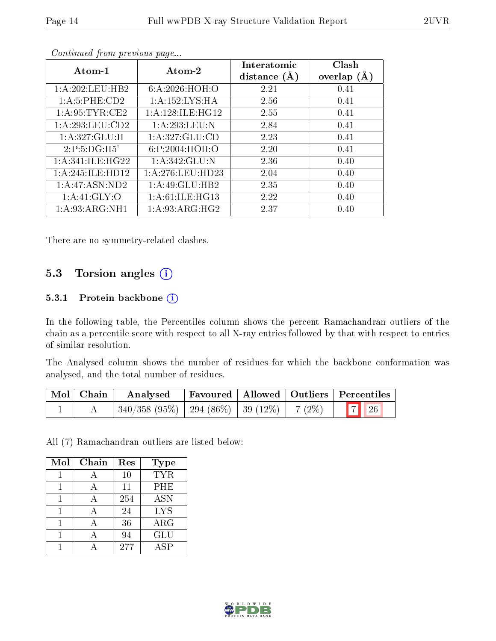| $Atom-1$         | Atom-2             | Interatomic    | Clash         |
|------------------|--------------------|----------------|---------------|
|                  |                    | distance $(A)$ | overlap $(A)$ |
| 1:A:202:LEU:HB2  | 6: A:2026: HOH:O   | 2.21           | 0.41          |
| 1: A:5: PHE:CD2  | 1: A:152:LYS:HA    | 2.56           | 0.41          |
| 1: A:95:TYR:CE2  | 1:A:128:ILE:HG12   | 2.55           | 0.41          |
| 1:A:293:LEU:CD2  | 1:A:293:LEU:N      | 2.84           | 0.41          |
| 1:A:327:GLU:H    | 1:A:327:GLU:CD     | 2.23           | 0.41          |
| 2:P:5:DG:H5'     | 6:P:2004:HOH:O     | 2.20           | 0.41          |
| 1:A:341:ILE:HG22 | 1:A:342:GLU:N      | 2.36           | 0.40          |
| 1:A:245:ILE:HD12 | 1: A:276:LEU:HD23  | 2.04           | 0.40          |
| 1:A:47:ASN:ND2   | $1:$ A:49:GLU:HB2  | 2.35           | 0.40          |
| 1: A:41: GLY:O   | 1: A:61: ILE: HG13 | 2.22           | 0.40          |
| 1: A:93: ARG:NH1 | 1: A:93: ARG: HG2  | 2.37           | 0.40          |

There are no symmetry-related clashes.

#### 5.3 Torsion angles (i)

#### 5.3.1 Protein backbone  $(i)$

In the following table, the Percentiles column shows the percent Ramachandran outliers of the chain as a percentile score with respect to all X-ray entries followed by that with respect to entries of similar resolution.

The Analysed column shows the number of residues for which the backbone conformation was analysed, and the total number of residues.

| $\vert$ Mol $\vert$ Chain $\vert$ | Analysed                                      |  | Favoured   Allowed   Outliers   Percentiles                     |
|-----------------------------------|-----------------------------------------------|--|-----------------------------------------------------------------|
|                                   | 340/358 (95%)   294 (86%)   39 (12%)   7 (2%) |  | $\begin{array}{ c c c }\n\hline\n7 & 26 \\ \hline\n\end{array}$ |

All (7) Ramachandran outliers are listed below:

| Mol | Chain | Res | <b>Type</b> |
|-----|-------|-----|-------------|
|     |       | 10  | <b>TYR</b>  |
|     |       | 11  | PHE         |
|     |       | 254 | <b>ASN</b>  |
|     | А     | 24  | <b>LYS</b>  |
|     |       | 36  | ARG         |
|     |       | 94  | GLU         |
|     |       | 277 | A SP        |

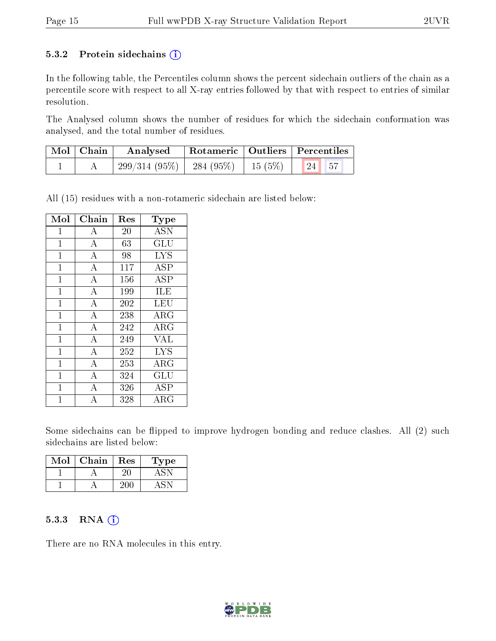#### 5.3.2 Protein sidechains  $(i)$

In the following table, the Percentiles column shows the percent sidechain outliers of the chain as a percentile score with respect to all X-ray entries followed by that with respect to entries of similar resolution.

The Analysed column shows the number of residues for which the sidechain conformation was analysed, and the total number of residues.

| Mol   Chain | Rotameric   Outliers   Percentiles<br>Analysed    |  |  |  |
|-------------|---------------------------------------------------|--|--|--|
|             | $299/314(95\%)$   284 (95\%)   15 (5\%)   24   57 |  |  |  |

All (15) residues with a non-rotameric sidechain are listed below:

| Mol          | Chain              | Res | <b>Type</b>                    |
|--------------|--------------------|-----|--------------------------------|
| $\mathbf{1}$ | А                  | 20  | <b>ASN</b>                     |
| $\mathbf{1}$ | $\overline{A}$     | 63  | $\overline{{\rm GL}}\,{\rm U}$ |
| $\mathbf{1}$ | $\overline{A}$     | 98  | <b>LYS</b>                     |
| $\mathbf{1}$ | $\bf{A}$           | 117 | <b>ASP</b>                     |
| $\mathbf{1}$ | $\overline{\rm A}$ | 156 | $\overline{\rm ASP}$           |
| $\mathbf{1}$ | $\overline{\rm A}$ | 199 | <b>ILE</b>                     |
| $\mathbf{1}$ | $\overline{\rm A}$ | 202 | LEU                            |
| $\mathbf{1}$ | $\overline{A}$     | 238 | $\rm{ARG}$                     |
| $\mathbf{1}$ | $\overline{A}$     | 242 | $\rm{ARG}$                     |
| $\mathbf{1}$ | $\overline{A}$     | 249 | <b>VAL</b>                     |
| $\mathbf{1}$ | $\overline{A}$     | 252 | <b>LYS</b>                     |
| $\mathbf{1}$ | $\overline{\rm A}$ | 253 | $\rm{ARG}$                     |
| $\mathbf{1}$ | $\boldsymbol{A}$   | 324 | GLU                            |
| $\mathbf{1}$ | $\bar{\text{A}}$   | 326 | <b>ASP</b>                     |
| 1            | А                  | 328 | $\rm{ARG}$                     |

Some sidechains can be flipped to improve hydrogen bonding and reduce clashes. All (2) such sidechains are listed below:

| Mol | Chain | Res | Type |
|-----|-------|-----|------|
|     |       |     |      |
|     |       |     |      |

#### 5.3.3 RNA (1)

There are no RNA molecules in this entry.

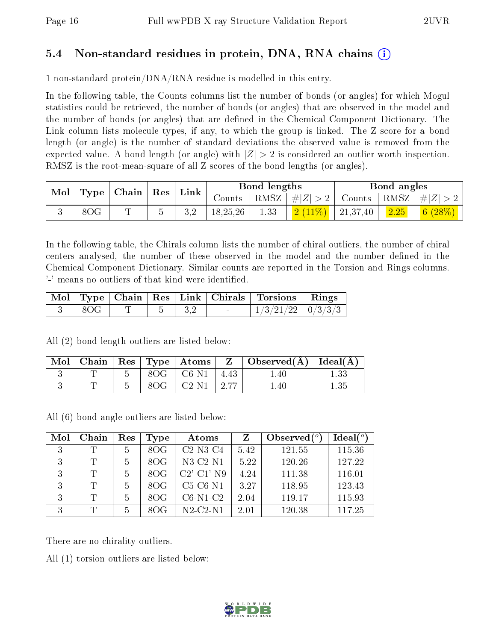### 5.4 Non-standard residues in protein, DNA, RNA chains (i)

1 non-standard protein/DNA/RNA residue is modelled in this entry.

In the following table, the Counts columns list the number of bonds (or angles) for which Mogul statistics could be retrieved, the number of bonds (or angles) that are observed in the model and the number of bonds (or angles) that are dened in the Chemical Component Dictionary. The Link column lists molecule types, if any, to which the group is linked. The Z score for a bond length (or angle) is the number of standard deviations the observed value is removed from the expected value. A bond length (or angle) with  $|Z| > 2$  is considered an outlier worth inspection. RMSZ is the root-mean-square of all Z scores of the bond lengths (or angles).

| Mol |     | $\mid$ Type $\mid$ Chain $\mid$ Res $\mid$ | $^{\shortmid}$ Link |          | Bond lengths |                                                              | Bond angles |            |
|-----|-----|--------------------------------------------|---------------------|----------|--------------|--------------------------------------------------------------|-------------|------------|
|     |     |                                            |                     | Counts   |              | $\mid$ RMSZ $\mid \#  Z  > 2 \mid$ Counts $\mid$ RMSZ $\mid$ |             | H Z        |
|     | 8OG |                                            |                     | 18,25,26 | 1.33         | $2(11\%)$   21,37,40                                         | 2.25        | 6 $(28\%)$ |

In the following table, the Chirals column lists the number of chiral outliers, the number of chiral centers analysed, the number of these observed in the model and the number defined in the Chemical Component Dictionary. Similar counts are reported in the Torsion and Rings columns. '-' means no outliers of that kind were identified.

|     |  |  | Mol   Type   Chain   Res   Link   Chirals   Torsions   Rings |  |
|-----|--|--|--------------------------------------------------------------|--|
| 80G |  |  | $1/3/21/22$   $0/3/3/3$                                      |  |

All (2) bond length outliers are listed below:

| $\mid$ Mol |  |     |                            |                  | Chain   Res   Type   Atoms   $Z$   Observed( $A$ )   Ideal( $A$ ) |  |
|------------|--|-----|----------------------------|------------------|-------------------------------------------------------------------|--|
|            |  |     | $8OG$   $C6-N1$ $^{\circ}$ | 4.43             | .40                                                               |  |
|            |  | 8OG | C2-N1                      | $\frac{1}{2.77}$ | .40                                                               |  |

All (6) bond angle outliers are listed below:

| Mol | Chain | Res | Type | Atoms             | Z       | Observed $(°)$ | Ideal $(°)$ |
|-----|-------|-----|------|-------------------|---------|----------------|-------------|
| 3   | T     | 5   | 8OG  | $C2$ -N3- $C4$    | 5.42    | 121.55         | 115.36      |
| 3   | T     | 5   | 8OG  | $N3-C2-N1$        | $-5.22$ | 120.26         | 127.22      |
| 3   | T     |     | 8OG  | $C2'$ - $C1'$ -N9 | $-4.24$ | 111.38         | 116.01      |
| ্   | T     | 5   | 80G  | $C5-C6-N1$        | $-3.27$ | 118.95         | 123.43      |
| 3   | T     | 5   | 8OG  | $C6-N1-C2$        | 2.04    | 119.17         | 115.93      |
| 3   | T     | 5   | 80G  | $N2-C2-N1$        | 2.01    | 120.38         | 117.25      |

There are no chirality outliers.

All (1) torsion outliers are listed below:

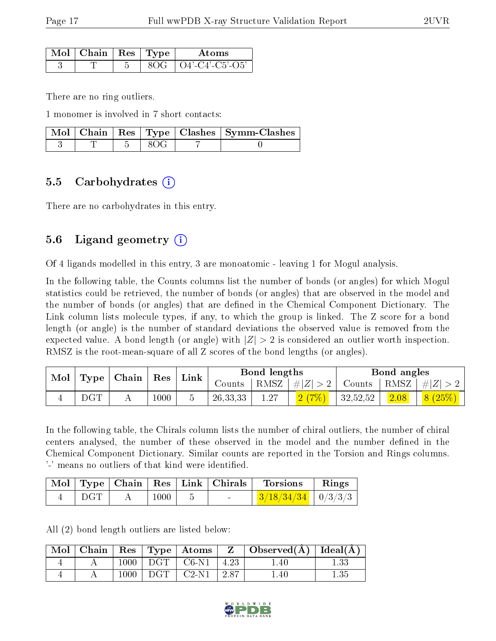| Mol | $\Box$   Chain   Res   Type $\Box$ |  | Atoms              |
|-----|------------------------------------|--|--------------------|
|     |                                    |  | $O4'$ -C4'-C5'-O5' |

There are no ring outliers.

1 monomer is involved in 7 short contacts:

|  |  | Mol   Chain   Res   Type   Clashes   Symm-Clashes |
|--|--|---------------------------------------------------|
|  |  |                                                   |

#### 5.5 Carbohydrates (i)

There are no carbohydrates in this entry.

### 5.6 Ligand geometry  $(i)$

Of 4 ligands modelled in this entry, 3 are monoatomic - leaving 1 for Mogul analysis.

In the following table, the Counts columns list the number of bonds (or angles) for which Mogul statistics could be retrieved, the number of bonds (or angles) that are observed in the model and the number of bonds (or angles) that are dened in the Chemical Component Dictionary. The Link column lists molecule types, if any, to which the group is linked. The Z score for a bond length (or angle) is the number of standard deviations the observed value is removed from the expected value. A bond length (or angle) with  $|Z| > 2$  is considered an outlier worth inspection. RMSZ is the root-mean-square of all Z scores of the bond lengths (or angles).

| Mol | Type         | Chain | $\operatorname{Res}$ |      | Bond lengths |      |             | Bond angles |      |           |
|-----|--------------|-------|----------------------|------|--------------|------|-------------|-------------|------|-----------|
|     |              |       |                      | Link | Jounts       | RMSZ | , $\# Z  >$ | Counts      | RMSZ | $\pm  Z $ |
|     | $_{\rm DGT}$ |       | 1000                 |      | 26, 33, 33   | 1.27 |             | 32,52,52    | 2.08 | $(25\%)$  |

In the following table, the Chirals column lists the number of chiral outliers, the number of chiral centers analysed, the number of these observed in the model and the number defined in the Chemical Component Dictionary. Similar counts are reported in the Torsion and Rings columns. '-' means no outliers of that kind were identified.

|     |          | $\text{Mol}$   Type   Chain   Res   Link   Chirals | <b>Torsions</b>                          | Rings |
|-----|----------|----------------------------------------------------|------------------------------------------|-------|
| DGT | $1000\,$ |                                                    | $\frac{3}{18/34/34}$ $\frac{1}{0/3/3/3}$ |       |

All (2) bond length outliers are listed below:

| Mol |      |     | $\parallel$ Chain $\parallel$ Res $\parallel$ Type $\parallel$ Atoms $\perp$ | $\mathbf{Z}$ | $\perp$ Observed( $\AA$ )   Ideal( $\overline{A}$ ) |          |
|-----|------|-----|------------------------------------------------------------------------------|--------------|-----------------------------------------------------|----------|
|     | 1000 | DGT | $C6-N1$                                                                      | 4.23         | l .40                                               |          |
|     | 1000 | DGT | $C2-N1$                                                                      | 2.87         | .40                                                 | $1.35\,$ |

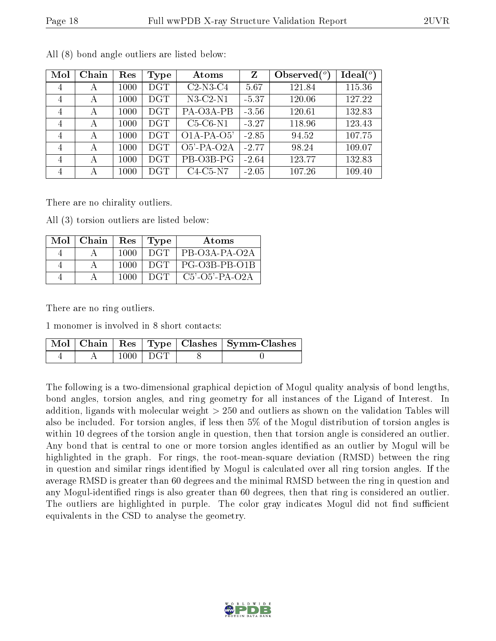| Mol            | Chain | Res  | Type       | Atoms            | Z       | Observed $(^\circ)$ | Ideal $(^\circ)$ |
|----------------|-------|------|------------|------------------|---------|---------------------|------------------|
| 4              | А     | 1000 | <b>DGT</b> | $C2-N3-C4$       | 5.67    | 121.84              | 115.36           |
| $\overline{4}$ | А     | 1000 | <b>DGT</b> | $N3-C2-N1$       | $-5.37$ | 120.06              | 127.22           |
| 4              | А     | 1000 | <b>DGT</b> | PA-O3A-PB        | $-3.56$ | 120.61              | 132.83           |
| 4              | А     | 1000 | <b>DGT</b> | $C5-C6-N1$       | $-3.27$ | 118.96              | 123.43           |
| $\overline{4}$ | А     | 1000 | <b>DGT</b> | $O1A-PA-O5'$     | $-2.85$ | 94.52               | 107.75           |
| $\overline{4}$ | А     | 1000 | <b>DGT</b> | $O5'$ -PA- $O2A$ | $-2.77$ | 98.24               | 109.07           |
| 4              | А     | 1000 | <b>DGT</b> | PB-O3B-PG        | $-2.64$ | 123.77              | 132.83           |
| $\overline{4}$ | А     | 1000 | DGT        | $C4-C5-N7$       | $-2.05$ | 107.26              | 109.40           |

All (8) bond angle outliers are listed below:

There are no chirality outliers.

All (3) torsion outliers are listed below:

| Mol | Chain | Res  | $\vert$ Type | Atoms             |
|-----|-------|------|--------------|-------------------|
|     |       | 1000 | DGT          | $PB-O3A-PA-O2A$   |
|     |       | 1000 | DGT.         | PG-O3B-PB-O1B     |
|     |       | 1000 | DGT          | $C5'$ -O5'-PA-O2A |

There are no ring outliers.

1 monomer is involved in 8 short contacts:

|  |                  | $\overline{\phantom{a}}$ Mol   Chain   Res   Type   Clashes   Symm-Clashes |
|--|------------------|----------------------------------------------------------------------------|
|  | $1000 \perp DGT$ |                                                                            |

The following is a two-dimensional graphical depiction of Mogul quality analysis of bond lengths, bond angles, torsion angles, and ring geometry for all instances of the Ligand of Interest. In addition, ligands with molecular weight > 250 and outliers as shown on the validation Tables will also be included. For torsion angles, if less then 5% of the Mogul distribution of torsion angles is within 10 degrees of the torsion angle in question, then that torsion angle is considered an outlier. Any bond that is central to one or more torsion angles identified as an outlier by Mogul will be highlighted in the graph. For rings, the root-mean-square deviation (RMSD) between the ring in question and similar rings identified by Mogul is calculated over all ring torsion angles. If the average RMSD is greater than 60 degrees and the minimal RMSD between the ring in question and any Mogul-identified rings is also greater than 60 degrees, then that ring is considered an outlier. The outliers are highlighted in purple. The color gray indicates Mogul did not find sufficient equivalents in the CSD to analyse the geometry.

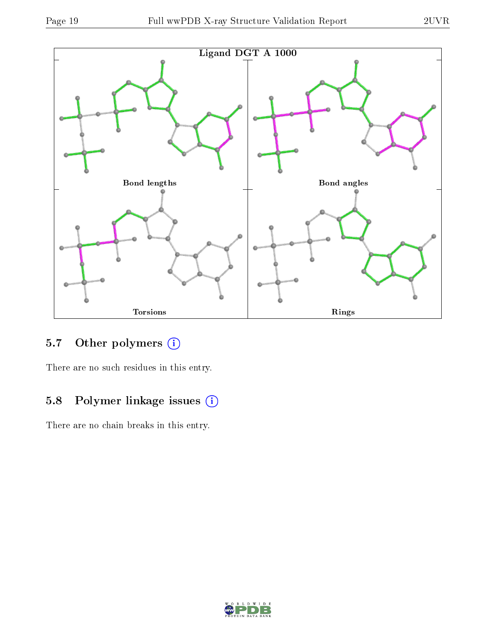

### 5.7 [O](https://www.wwpdb.org/validation/2017/XrayValidationReportHelp#nonstandard_residues_and_ligands)ther polymers (i)

There are no such residues in this entry.

### 5.8 Polymer linkage issues (i)

There are no chain breaks in this entry.

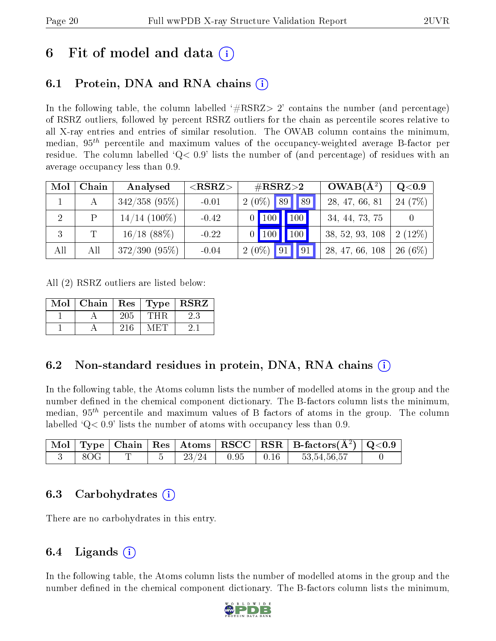## 6 Fit of model and data  $\left( \cdot \right)$

### 6.1 Protein, DNA and RNA chains (i)

In the following table, the column labelled  $#RSRZ>2'$  contains the number (and percentage) of RSRZ outliers, followed by percent RSRZ outliers for the chain as percentile scores relative to all X-ray entries and entries of similar resolution. The OWAB column contains the minimum, median,  $95<sup>th</sup>$  percentile and maximum values of the occupancy-weighted average B-factor per residue. The column labelled  $Q< 0.9$  lists the number of (and percentage) of residues with an average occupancy less than 0.9.

| Mol | Chain | Analysed        | ${ <\hspace{-1.5pt}{\mathrm{RSRZ}} \hspace{-1.5pt}>}$ | $\#\text{RSRZ}{>}2$               | $OWAB(A^2)$     | $Q<$ 0.9       |
|-----|-------|-----------------|-------------------------------------------------------|-----------------------------------|-----------------|----------------|
|     |       | $342/358$ (95%) | $-0.01$                                               | $2(0\%)$ 89<br>89                 | 28, 47, 66, 81  | (7%)<br>24     |
|     | P     | $14/14$ (100%)  | $-0.42$                                               | $\vert$ 100<br>100                | 34, 44, 73, 75  |                |
| 3   |       | $16/18$ (88%)   | $-0.22$                                               | $\vert$ 100 $\vert$<br><b>100</b> | 38, 52, 93, 108 | $(12\%)$<br>2( |
| All | All   | $372/390(95\%)$ | $-0.04$                                               | $2(0\%)$<br> 91<br> 91            | 28, 47, 66, 108 | $(6\%)$<br>26  |

All (2) RSRZ outliers are listed below:

| Mol | $\vert$ Chain $\vert$ Res $\vert$ Type $\vert$ RSRZ |     |        |    |
|-----|-----------------------------------------------------|-----|--------|----|
|     |                                                     | 205 | THR    | 23 |
|     |                                                     | 216 | M ET F |    |

### 6.2 Non-standard residues in protein, DNA, RNA chains (i)

In the following table, the Atoms column lists the number of modelled atoms in the group and the number defined in the chemical component dictionary. The B-factors column lists the minimum, median,  $95<sup>th</sup>$  percentile and maximum values of B factors of atoms in the group. The column labelled  $Q < 0.9$ ' lists the number of atoms with occupancy less than 0.9.

|     |  |                                                                                       |  | $\mid$ Mol $\mid$ Type $\mid$ Chain $\mid$ Res $\mid$ Atoms $\mid$ RSCC $\mid$ RSR $\mid$ B-factors(Å <sup>2</sup> ) $\mid$ Q<0.9 |  |
|-----|--|---------------------------------------------------------------------------------------|--|-----------------------------------------------------------------------------------------------------------------------------------|--|
| 8OG |  | $\begin{array}{ c c c c c c c c } \hline &23/24&\ &0.95&\ &0.16&\ \hline \end{array}$ |  | 53,54,56,57                                                                                                                       |  |

### 6.3 Carbohydrates (i)

There are no carbohydrates in this entry.

### 6.4 Ligands  $(i)$

In the following table, the Atoms column lists the number of modelled atoms in the group and the number defined in the chemical component dictionary. The B-factors column lists the minimum,